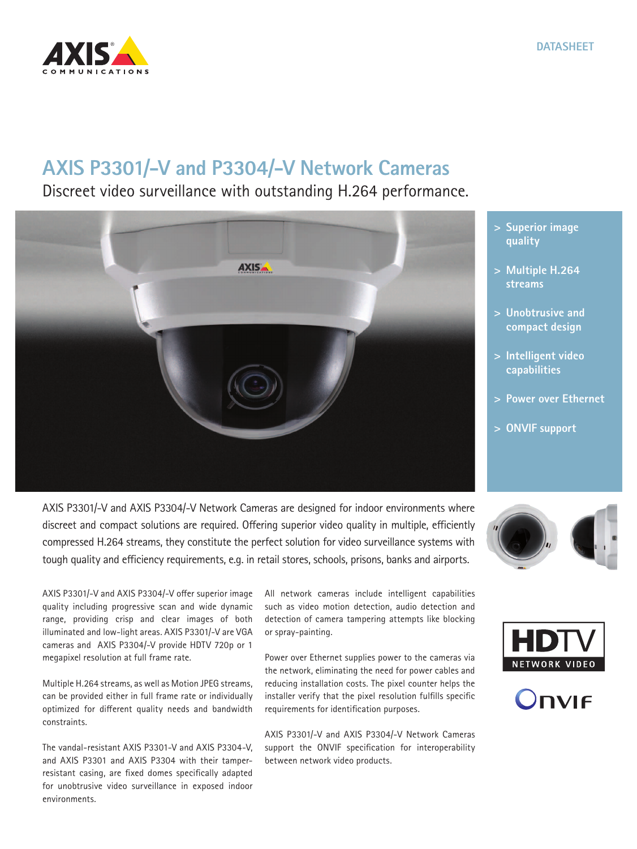## **AXIS P3301/-V and P3304/-V Network Cameras**

Discreet video surveillance with outstanding H.264 performance.

**AXIS** 



AXIS P3301/-V and AXIS P3304/-V offer superior image quality including progressive scan and wide dynamic range, providing crisp and clear images of both illuminated and low-light areas. AXIS P3301/-V are VGA cameras and AXIS P3304/-V provide HDTV 720p or 1 megapixel resolution at full frame rate.

Multiple H.264 streams, as well as Motion JPEG streams, can be provided either in full frame rate or individually optimized for different quality needs and bandwidth constraints.

The vandal-resistant AXIS P3301-V and AXIS P3304-V, and AXIS P3301 and AXIS P3304 with their tamperresistant casing, are fixed domes specifically adapted for unobtrusive video surveillance in exposed indoor environments.

All network cameras include intelligent capabilities such as video motion detection, audio detection and detection of camera tampering attempts like blocking or spray-painting.

Power over Ethernet supplies power to the cameras via the network, eliminating the need for power cables and reducing installation costs. The pixel counter helps the installer verify that the pixel resolution fulfills specific requirements for identification purposes.

AXIS P3301/-V and AXIS P3304/-V Network Cameras support the ONVIF specification for interoperability between network video products.

- **> Superior image quality**
- **> Multiple H.264 streams**
- **> Unobtrusive and compact design**
- **> Intelligent video capabilities**
- **> Power over Ethernet**
- **> ONVIF support**